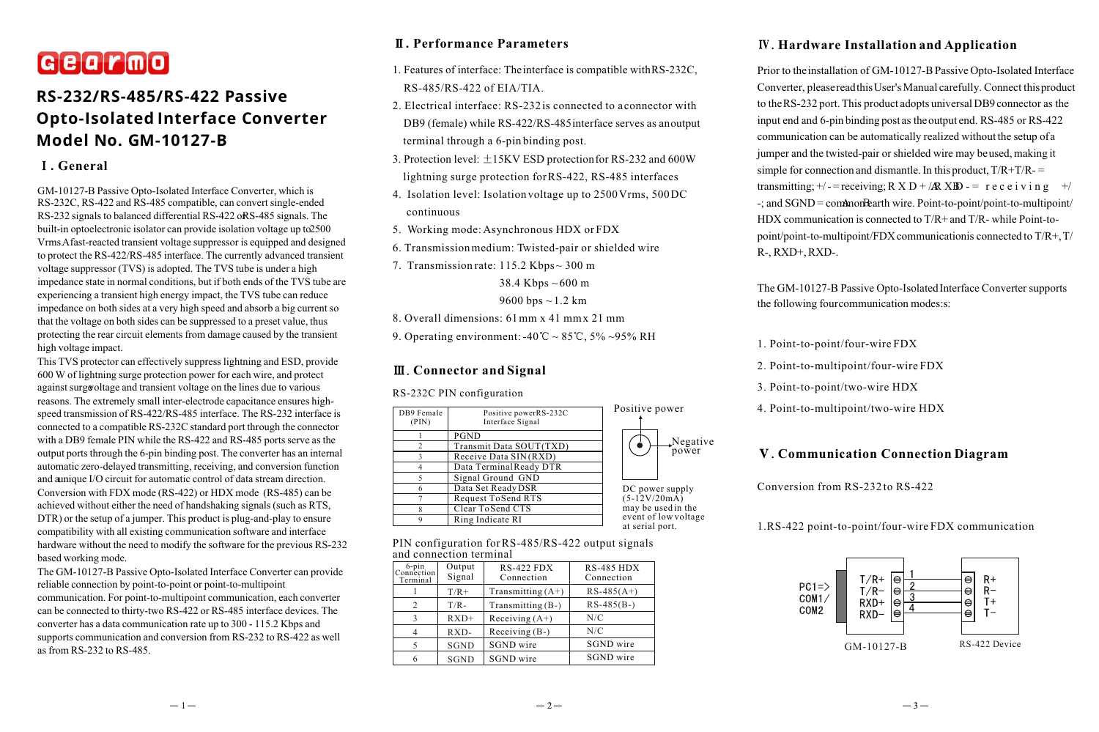# Gearmo

## **RS-232/RS-485/RS-422 Passive Opto-Isolated Interface Converter Model No. GM-10127-B**

### **. General**

GM-10127-B Passive Opto-Isolated Interface Converter, which is RS-232C, RS-422 and RS-485 compatible, can convert single-ended RS-232 signals to balanced differential RS-422 or RS-485 signals. The built-in optoelectronic isolator can provide isolation voltage up to 2500 Vrms. A fast-reacted transient voltage suppressor is equipped and designed to protect the RS-422/RS-485 interface. The currently advanced transient voltage suppressor (TVS) is adopted. The TVS tube is under a high impedance state in normal conditions, but if both ends of the TVS tube are experiencing a transient high energy impact, the TVS tube can reduce impedance on both sides at a very high speed and absorb a big current so that the voltage on both sides can be suppressed to a preset value, thus protecting the rear circuit elements from damage caused by the transient high voltage impact.

This TVS protector can effectively suppress lightning and ESD, provide 600 W of lightning surge protection power for each wire, and protect against surge voltage and transient voltage on the lines due to various reasons. The extremely small inter-electrode capacitance ensures highspeed transmission of RS-422/RS-485 interface. The RS-232 interface is connected to a compatible RS-232C standard port through the connector with a DB9 female PIN while the RS-422 and RS-485 ports serve as the output ports through the 6-pin binding post. The converter has an internal automatic zero-delayed transmitting, receiving, and conversion function and a unique I/O circuit for automatic control of data stream direction. Conversion with FDX mode (RS-422) or HDX mode (RS-485) can be achieved without either the need of handshaking signals (such as RTS, DTR) or the setup of a jumper. This product is plug-and-play to ensure compatibility with all existing communication software and interface hardware without the need to modify the software for the previous RS-232 based working mode.

The GM-10127-B Passive Opto-Isolated Interface Converter can provide reliable connection by point-to-point or point-to-multipoint

communication. For point-to-multipoint communication, each converter can be connected to thirty-two RS-422 or RS-485 interface devices. The converter has a data communication rate up to 300 - 115.2 Kbps and supports communication and conversion from RS-232 to RS-422 as well as from RS-232 to RS-485.

## **. Performance Parameters**

- 1. Features of interface: The interface is compatible with RS-232C, RS-485/RS-422 of EIA/TIA.
- 2. Electrical interface: RS-232 is connected to a connector with DB9 (female) while RS-422/RS-485 interface serves as an output terminal through a 6-pin binding post.
- 3. Protection level:  $\pm$ 15KV ESD protection for RS-232 and 600W lightning surge protection for RS-422, RS-485 interfaces
- 4. Isolation level: Isolation voltage up to 2500 Vrms, 500 DC continuous
- 5. Working mode: Asynchronous HDX or FDX
- 6. Transmission medium: Twisted-pair or shielded wire
- 7. Transmission rate: 115.2 Kbps ~ 300 m

## 38.4 Kbps  $\sim$  600 m

#### 9600 bps  $\sim$  1.2 km

8. Overall dimensions: 61 mm x 41 mm x 21 mm

9. Operating environment:  $-40^{\circ}\text{C} \sim 85^{\circ}\text{C}$ ,  $5\% \sim 95\% \text{ RH}$ 

## **Connector and Signal**

#### RS-232C PIN configuration

| DB9 Female<br>(PIN) | Positive powerRS-232C<br>Interface Signal | Positive power                          |  |
|---------------------|-------------------------------------------|-----------------------------------------|--|
|                     | PGND                                      |                                         |  |
| 2                   | Transmit Data SOUT(TXD)                   | $\sqrt{N}$ egative<br>power             |  |
|                     | Receive Data SIN(RXD)                     |                                         |  |
|                     | Data Terminal Ready DTR                   |                                         |  |
|                     | Signal Ground GND                         |                                         |  |
|                     | Data Set Ready DSR                        | DC power supply                         |  |
|                     | Request To Send RTS                       | $(5-12V/20mA)$                          |  |
|                     | Clear To Send CTS                         | may be used in the                      |  |
|                     | Ring Indicate RI                          | event of low voltage<br>at serial port. |  |

#### PIN configuration for RS-485/RS-422 output signals and connection terminal

| ana compondi termina               |                  |                            |                                 |  |  |
|------------------------------------|------------------|----------------------------|---------------------------------|--|--|
| $6$ -pin<br>Connection<br>Terminal | Output<br>Signal | $RS-422 FDX$<br>Connection | <b>RS-485 HDX</b><br>Connection |  |  |
|                                    | $T/R+$           | Transmitting $(A+)$        | $RS-485(A+)$                    |  |  |
| 2                                  | $T/R -$          | Transmitting (B-)          | $RS-485(B-)$                    |  |  |
| 3                                  | $RXD+$           | Receiving $(A+)$           | N/C                             |  |  |
| 4                                  | RXD-             | Receiving (B-)             | N/C                             |  |  |
| 5                                  | <b>SGND</b>      | SGND wire                  | SGND wire                       |  |  |
| 6                                  | <b>SGND</b>      | SGND wire                  | SGND wire                       |  |  |

## **Hardware Installation and Application**

Prior to the installation of GM-10127-B Passive Opto-Isolated Interface Converter, please read this User's Manual carefully. Connect this product to the RS-232 port. This product adopts universal DB9 connector as the input end and 6-pin binding post as the output end. RS-485 or RS-422 communication can be automatically realized without the setup of a jumper and the twisted-pair or shielded wire may be used, making it simple for connection and dismantle. In this product,  $T/R + T/R =$ transmitting;  $+/-$  = receiving; R X D + /**R** X**B** - = r e c e i v i n g +/  $-$ ; and SGND = common earth wire. Point-to-point/point-to-multipoint/ HDX communication is connected to T/R+ and T/R- while Point-topoint/point-to-multipoint/FDX communicationis connected to T/R+, T/ R-, RXD+, RXD-.

The GM-10127-B Passive Opto-Isolated Interface Converter supports the following four communication modes:s:

- 1. Point-to-point/four-wire FDX
- 2. Point-to-multipoint/four-wire FDX
- 3. Point-to-point/two-wire HDX
- 4. Point-to-multipoint/two-wire HDX

## **Communication Connection Diagram**

Conversion from RS-232 to RS-422

1.RS-422 point-to-point/four-wire FDX communication